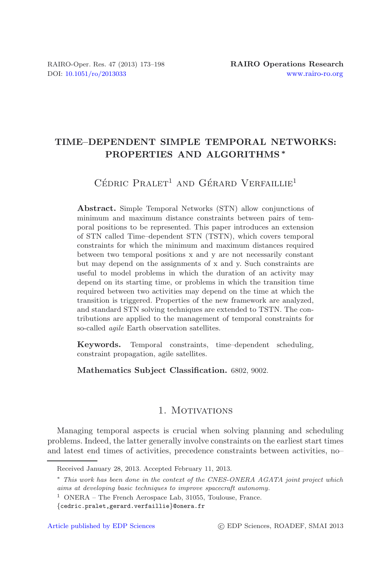# **TIME–DEPENDENT SIMPLE TEMPORAL NETWORKS: PROPERTIES AND ALGORITHMS** *∗*

 $C$ édric Pralet<sup>1</sup> and Gérard Verfaillie<sup>1</sup>

**Abstract.** Simple Temporal Networks (STN) allow conjunctions of minimum and maximum distance constraints between pairs of temporal positions to be represented. This paper introduces an extension of STN called Time–dependent STN (TSTN), which covers temporal constraints for which the minimum and maximum distances required between two temporal positions x and y are not necessarily constant but may depend on the assignments of x and y. Such constraints are useful to model problems in which the duration of an activity may depend on its starting time, or problems in which the transition time required between two activities may depend on the time at which the transition is triggered. Properties of the new framework are analyzed, and standard STN solving techniques are extended to TSTN. The contributions are applied to the management of temporal constraints for so-called *agile* Earth observation satellites.

**Keywords.** Temporal constraints, time–dependent scheduling, constraint propagation, agile satellites.

**Mathematics Subject Classification.** 6802, 9002.

# 1. MOTIVATIONS

Managing temporal aspects is crucial when solving planning and scheduling problems. Indeed, the latter generally involve constraints on the earliest start times and latest end times of activities, precedence constraints between activities, no–

Received January 28, 2013. Accepted February 11, 2013.

<sup>∗</sup> *This work has been done in the context of the CNES-ONERA AGATA joint project which aims at developing basic techniques to improve spacecraft autonomy.*

<sup>&</sup>lt;sup>1</sup> ONERA – The French Aerospace Lab, 31055, Toulouse, France.

<sup>{</sup>cedric.pralet,gerard.verfaillie}@onera.fr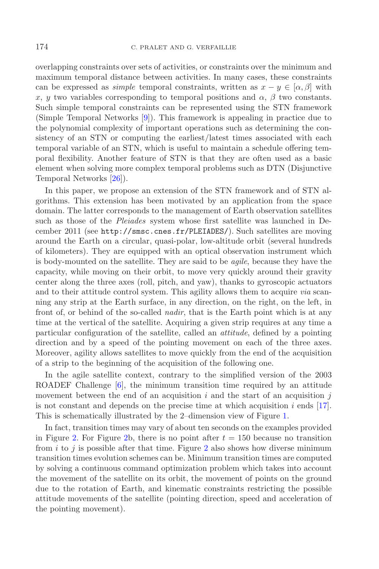overlapping constraints over sets of activities, or constraints over the minimum and maximum temporal distance between activities. In many cases, these constraints can be expressed as *simple* temporal constraints, written as  $x - y \in [\alpha, \beta]$  with x, y two variables corresponding to temporal positions and  $\alpha$ ,  $\beta$  two constants. Such simple temporal constraints can be represented using the STN framework (Simple Temporal Networks [\[9\]](#page-24-0)). This framework is appealing in practice due to the polynomial complexity of important operations such as determining the consistency of an STN or computing the earliest/latest times associated with each temporal variable of an STN, which is useful to maintain a schedule offering temporal flexibility. Another feature of STN is that they are often used as a basic element when solving more complex temporal problems such as DTN (Disjunctive Temporal Networks [\[26\]](#page-25-0)).

In this paper, we propose an extension of the STN framework and of STN algorithms. This extension has been motivated by an application from the space domain. The latter corresponds to the management of Earth observation satellites such as those of the *Pleiades* system whose first satellite was launched in December 2011 (see http://smsc.cnes.fr/PLEIADES/). Such satellites are moving around the Earth on a circular, quasi-polar, low-altitude orbit (several hundreds of kilometers). They are equipped with an optical observation instrument which is body-mounted on the satellite. They are said to be *agile*, because they have the capacity, while moving on their orbit, to move very quickly around their gravity center along the three axes (roll, pitch, and yaw), thanks to gyroscopic actuators and to their attitude control system. This agility allows them to acquire *via* scanning any strip at the Earth surface, in any direction, on the right, on the left, in front of, or behind of the so-called *nadir*, that is the Earth point which is at any time at the vertical of the satellite. Acquiring a given strip requires at any time a particular configuration of the satellite, called an *attitude*, defined by a pointing direction and by a speed of the pointing movement on each of the three axes. Moreover, agility allows satellites to move quickly from the end of the acquisition of a strip to the beginning of the acquisition of the following one.

In the agile satellite context, contrary to the simplified version of the 2003 ROADEF Challenge [\[6](#page-24-1)], the minimum transition time required by an attitude movement between the end of an acquisition  $i$  and the start of an acquisition  $j$ is not constant and depends on the precise time at which acquisition  $i$  ends [\[17\]](#page-24-2). This is schematically illustrated by the 2–dimension view of Figure [1.](#page-2-0)

In fact, transition times may vary of about ten seconds on the examples provided in Figure [2.](#page-2-1) For Figure [2b](#page-2-1), there is no point after  $t = 150$  because no transition from  $i$  to  $j$  is possible after that time. Figure [2](#page-2-1) also shows how diverse minimum transition times evolution schemes can be. Minimum transition times are computed by solving a continuous command optimization problem which takes into account the movement of the satellite on its orbit, the movement of points on the ground due to the rotation of Earth, and kinematic constraints restricting the possible attitude movements of the satellite (pointing direction, speed and acceleration of the pointing movement).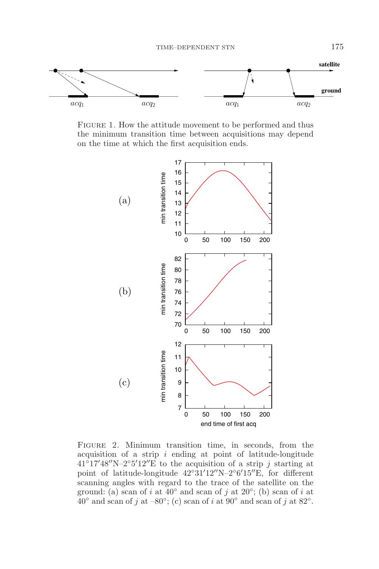<span id="page-2-0"></span>

FIGURE 1. How the attitude movement to be performed and thus the minimum transition time between acquisitions may depend on the time at which the first acquisition ends.



<span id="page-2-1"></span>Figure 2. Minimum transition time, in seconds, from the acquisition of a strip  $i$  ending at point of latitude-longitude  $41^{\circ}$ 17'48"N-2°5'12"E to the acquisition of a strip j starting at point of latitude-longitude  $42^{\circ}31'12''N-2^{\circ}6'15''E$ , for different scanning angles with regard to the trace of the satellite on the ground: (a) scan of i at  $40°$  and scan of j at  $20°$ ; (b) scan of i at  $40°$  and scan of j at  $-80°$ ; (c) scan of i at  $90°$  and scan of j at  $82°$ .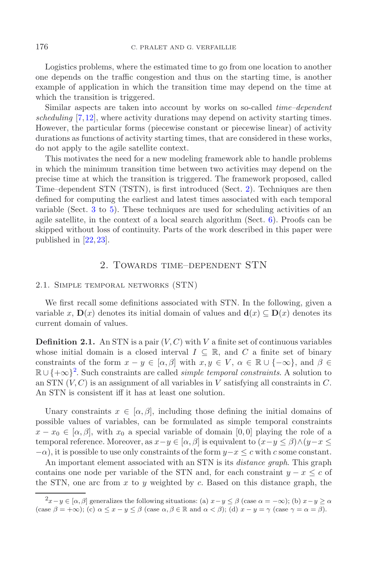Logistics problems, where the estimated time to go from one location to another one depends on the traffic congestion and thus on the starting time, is another example of application in which the transition time may depend on the time at which the transition is triggered.

Similar aspects are taken into account by works on so-called *time–dependent scheduling* [\[7](#page-24-3),[12](#page-24-4)], where activity durations may depend on activity starting times. However, the particular forms (piecewise constant or piecewise linear) of activity durations as functions of activity starting times, that are considered in these works, do not apply to the agile satellite context.

This motivates the need for a new modeling framework able to handle problems in which the minimum transition time between two activities may depend on the precise time at which the transition is triggered. The framework proposed, called Time–dependent STN (TSTN), is first introduced (Sect. [2\)](#page-3-0). Techniques are then defined for computing the earliest and latest times associated with each temporal variable (Sect. [3](#page-6-0) to [5\)](#page-13-0). These techniques are used for scheduling activities of an agile satellite, in the context of a local search algorithm (Sect. [6\)](#page-20-0). Proofs can be skipped without loss of continuity. Parts of the work described in this paper were published in [\[22,](#page-24-5) [23\]](#page-24-6).

# 2. Towards time–dependent STN

#### <span id="page-3-0"></span>2.1. Simple temporal networks (STN)

We first recall some definitions associated with STN. In the following, given a variable x,  $\mathbf{D}(x)$  denotes its initial domain of values and  $\mathbf{d}(x) \subseteq \mathbf{D}(x)$  denotes its current domain of values.

**Definition 2.1.** An STN is a pair  $(V, C)$  with V a finite set of continuous variables whose initial domain is a closed interval  $I \subseteq \mathbb{R}$ , and C a finite set of binary constraints of the form  $x - y \in [\alpha, \beta]$  with  $x, y \in V$ ,  $\alpha \in \mathbb{R} \cup \{-\infty\}$ , and  $\beta \in$ R ∪ {+∞}[2](#page-3-1). Such constraints are called *simple temporal constraints*. A solution to an STN  $(V, C)$  is an assignment of all variables in V satisfying all constraints in C. An STN is consistent iff it has at least one solution.

<span id="page-3-1"></span>Unary constraints  $x \in [\alpha, \beta]$ , including those defining the initial domains of possible values of variables, can be formulated as simple temporal constraints  $x - x_0 \in [\alpha, \beta]$ , with  $x_0$  a special variable of domain [0,0] playing the role of a temporal reference. Moreover, as  $x-y \in [\alpha, \beta]$  is equivalent to  $(x-y \leq \beta) \wedge (y-x \leq \beta)$  $-\alpha$ ), it is possible to use only constraints of the form  $y-x \leq c$  with c some constant.

An important element associated with an STN is its *distance graph*. This graph contains one node per variable of the STN and, for each constraint  $y - x \leq c$  of the STN, one arc from  $x$  to  $y$  weighted by  $c$ . Based on this distance graph, the

 $2x-y \in [\alpha, \beta]$  generalizes the following situations: (a)  $x-y \leq \beta$  (case  $\alpha = -\infty$ ); (b)  $x-y \geq \alpha$ (case  $\beta = +\infty$ ); (c)  $\alpha \leq x - y \leq \beta$  (case  $\alpha, \beta \in \mathbb{R}$  and  $\alpha < \beta$ ); (d)  $x - y = \gamma$  (case  $\gamma = \alpha = \beta$ ).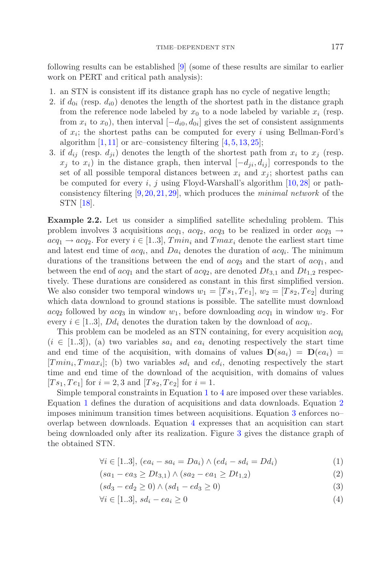following results can be established [\[9](#page-24-0)] (some of these results are similar to earlier work on PERT and critical path analysis):

- 1. an STN is consistent iff its distance graph has no cycle of negative length;
- 2. if  $d_{0i}$  (resp.  $d_{i0}$ ) denotes the length of the shortest path in the distance graph from the reference node labeled by  $x_0$  to a node labeled by variable  $x_i$  (resp. from  $x_i$  to  $x_0$ ), then interval  $[-d_{i0}, d_{0i}]$  gives the set of consistent assignments of  $x_i$ ; the shortest paths can be computed for every i using Bellman-Ford's algorithm  $[1, 11]$  $[1, 11]$  $[1, 11]$  or arc–consistency filtering  $[4, 5, 13, 25]$  $[4, 5, 13, 25]$  $[4, 5, 13, 25]$  $[4, 5, 13, 25]$  $[4, 5, 13, 25]$  $[4, 5, 13, 25]$  $[4, 5, 13, 25]$ ;
- 3. if  $d_{ij}$  (resp.  $d_{ji}$ ) denotes the length of the shortest path from  $x_i$  to  $x_j$  (resp.  $x_j$  to  $x_i$ ) in the distance graph, then interval  $[-d_{ji}, d_{ij}]$  corresponds to the set of all possible temporal distances between  $x_i$  and  $x_j$ ; shortest paths can be computed for every i, j using Floyd-Warshall's algorithm  $[10, 28]$  $[10, 28]$  $[10, 28]$  or pathconsistency filtering [\[9](#page-24-0), [20](#page-24-13), [21](#page-24-14), [29\]](#page-25-3), which produces the *minimal network* of the STN [\[18\]](#page-24-15).

**Example 2.2.** Let us consider a simplified satellite scheduling problem. This problem involves 3 acquisitions  $acq_1$ ,  $acq_2$ ,  $acq_3$  to be realized in order  $acq_3 \rightarrow$  $acq_1 \rightarrow acq_2$ . For every  $i \in [1..3]$ ,  $Tmin_i$  and  $Tmax_i$  denote the earliest start time and latest end time of  $acq_i$ , and  $Da_i$  denotes the duration of  $acq_i$ . The minimum durations of the transitions between the end of  $acq_3$  and the start of  $acq_1$ , and between the end of  $acq_1$  and the start of  $acq_2$ , are denoted  $Dt_{3,1}$  and  $Dt_{1,2}$  respectively. These durations are considered as constant in this first simplified version. We also consider two temporal windows  $w_1 = [Ts_1,Te_1], w_2 = [Ts_2,Te_2]$  during which data download to ground stations is possible. The satellite must download  $acq_2$  followed by  $acq_3$  in window  $w_1$ , before downloading  $acq_1$  in window  $w_2$ . For every  $i \in [1..3]$ ,  $Dd_i$  denotes the duration taken by the download of  $acq_i$ .

This problem can be modeled as an STN containing, for every acquisition acq*<sup>i</sup>*  $(i \in [1..3])$ , (a) two variables sa<sub>i</sub> and ea<sub>i</sub> denoting respectively the start time and end time of the acquisition, with domains of values  $D(sa_i) = D(ea_i)$  $|Tmin_i, Tmax_i|$ ; (b) two variables  $sd_i$  and  $ed_i$ , denoting respectively the start time and end time of the download of the acquisition, with domains of values  $[Ts_1,Te_1]$  for  $i = 2, 3$  and  $[Ts_2,Te_2]$  for  $i = 1$ .

Simple temporal constraints in Equation [1](#page-4-0) to [4](#page-4-0) are imposed over these variables. Equation [1](#page-4-0) defines the duration of acquisitions and data downloads. Equation [2](#page-4-0) imposes minimum transition times between acquisitions. Equation [3](#page-4-0) enforces no– overlap between downloads. Equation [4](#page-4-0) expresses that an acquisition can start being downloaded only after its realization. Figure [3](#page-5-0) gives the distance graph of the obtained STN.

<span id="page-4-0"></span>
$$
\forall i \in [1..3], (ea_i - sa_i = Da_i) \land (ed_i - sd_i = Dd_i)
$$
\n(1)

$$
(sa_1 - ea_3 \ge Dt_{3,1}) \wedge (sa_2 - ea_1 \ge Dt_{1,2})
$$
\n(2)

$$
(sd_3 - ed_2 \ge 0) \land (sd_1 - ed_3 \ge 0)
$$
\n(3)

$$
\forall i \in [1..3], \, sd_i - ea_i \ge 0 \tag{4}
$$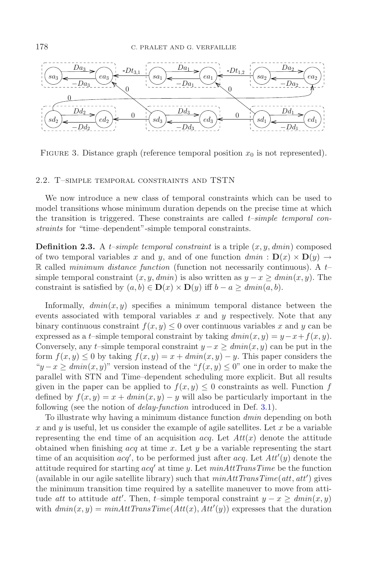<span id="page-5-0"></span>

FIGURE 3. Distance graph (reference temporal position  $x_0$  is not represented).

### 2.2. T–simple temporal constraints and TSTN

We now introduce a new class of temporal constraints which can be used to model transitions whose minimum duration depends on the precise time at which the transition is triggered. These constraints are called *t–simple temporal constraints* for "time–dependent"-simple temporal constraints.

**Definition 2.3.** A *t–simple temporal constraint* is a triple  $(x, y, dmin)$  composed of two temporal variables x and y, and of one function  $dmin : D(x) \times D(y) \rightarrow$ R called *minimum distance function* (function not necessarily continuous). A  $t$ simple temporal constraint  $(x, y, dmin)$  is also written as  $y - x \geq dmin(x, y)$ . The constraint is satisfied by  $(a, b) \in D(x) \times D(y)$  iff  $b - a \geq dmin(a, b)$ .

Informally,  $dmin(x, y)$  specifies a minimum temporal distance between the events associated with temporal variables  $x$  and  $y$  respectively. Note that any binary continuous constraint  $f(x, y) \leq 0$  over continuous variables x and y can be expressed as a t–simple temporal constraint by taking  $dmin(x, y) = y - x + f(x, y)$ . Conversely, any t–simple temporal constraint  $y - x \geq dmin(x, y)$  can be put in the form  $f(x, y) \leq 0$  by taking  $f(x, y) = x + \dim(x, y) - y$ . This paper considers the  $y-x \geq \text{dmin}(x, y)$ " version instead of the " $f(x, y) \leq 0$ " one in order to make the parallel with STN and Time–dependent scheduling more explicit. But all results given in the paper can be applied to  $f(x, y) \leq 0$  constraints as well. Function f defined by  $f(x, y) = x + \dim(x, y) - y$  will also be particularly important in the following (see the notion of *delay-function* introduced in Def. [3.1\)](#page-6-1).

To illustrate why having a minimum distance function *dmin* depending on both x and y is useful, let us consider the example of agile satellites. Let x be a variable representing the end time of an acquisition  $acq$ . Let  $Att(x)$  denote the attitude obtained when finishing  $acq$  at time x. Let y be a variable representing the start time of an acquisition  $acq'$ , to be performed just after  $acq$ . Let  $Att'(y)$  denote the attitude required for starting  $acq'$  at time y. Let  $minAttTransTime$  be the function (available in our agile satellite library) such that *minAttTransTime*(*att*, *att* ) gives the minimum transition time required by a satellite maneuver to move from attitude *att* to attitude *att'*. Then, *t*-simple temporal constraint  $y - x \geq \text{dmin}(x, y)$ with  $dmin(x, y) = minAttTransTime(Att(x), Att'(y))$  expresses that the duration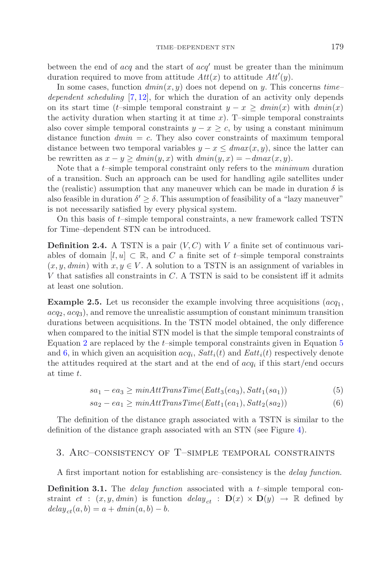between the end of  $acq$  and the start of  $acq'$  must be greater than the minimum duration required to move from attitude  $Att(x)$  to attitude  $Att'(y)$ .

In some cases, function  $dmin(x, y)$  does not depend on y. This concerns  $time$ *dependent scheduling* [\[7,](#page-24-3) [12\]](#page-24-4), for which the duration of an activity only depends on its start time (t–simple temporal constraint  $y - x > dimin(x)$  with  $dmin(x)$ the activity duration when starting it at time  $x$ ). T–simple temporal constraints also cover simple temporal constraints  $y - x \geq c$ , by using a constant minimum distance function  $dmin = c$ . They also cover constraints of maximum temporal distance between two temporal variables  $y - x \leq dmax(x, y)$ , since the latter can be rewritten as  $x - y \geq dmin(y, x)$  with  $dmin(y, x) = -dmax(x, y)$ .

Note that a t–simple temporal constraint only refers to the *minimum* duration of a transition. Such an approach can be used for handling agile satellites under the (realistic) assumption that any maneuver which can be made in duration  $\delta$  is also feasible in duration  $\delta' > \delta$ . This assumption of feasibility of a "lazy maneuver" is not necessarily satisfied by every physical system.

On this basis of  $t$ –simple temporal constraints, a new framework called TSTN for Time–dependent STN can be introduced.

**Definition 2.4.** A TSTN is a pair  $(V, C)$  with V a finite set of continuous variables of domain  $[l, u] \subset \mathbb{R}$ , and C a finite set of t–simple temporal constraints  $(x, y, dmin)$  with  $x, y \in V$ . A solution to a TSTN is an assignment of variables in V that satisfies all constraints in  $C$ . A TSTN is said to be consistent iff it admits at least one solution.

**Example 2.5.** Let us reconsider the example involving three acquisitions  $(acq_1,$  $acq_2, acq_3$ , and remove the unrealistic assumption of constant minimum transition durations between acquisitions. In the TSTN model obtained, the only difference when compared to the initial STN model is that the simple temporal constraints of Equation [2](#page-4-0) are replaced by the t–simple temporal constraints given in Equation [5](#page-6-2) and [6,](#page-6-2) in which given an acquisition  $acq_i$ ,  $Satt_i(t)$  and  $Eatt_i(t)$  respectively denote the attitudes required at the start and at the end of acq*<sup>i</sup>* if this start/end occurs at time t.

$$
sa_1 - ea_3 \ge \min AttTransTime(Eatt_3(ea_3), Satt_1(sa_1))
$$
\n<sup>(5)</sup>

$$
sa_2 - ea_1 \geq minAttTransTime(Eatt_1(ea_1), Satt_2(sa_2))
$$
\n
$$
(6)
$$

<span id="page-6-2"></span><span id="page-6-0"></span>The definition of the distance graph associated with a TSTN is similar to the definition of the distance graph associated with an STN (see Figure [4\)](#page-7-0).

# 3. Arc–consistency of T–simple temporal constraints

A first important notion for establishing arc–consistency is the *delay function*.

<span id="page-6-1"></span>**Definition 3.1.** The *delay function* associated with a t–simple temporal constraint  $ct$  :  $(x, y, dmin)$  is function  $delay_{ct}$  :  $D(x) \times D(y) \rightarrow \mathbb{R}$  defined by  $delay_{ct}(a, b) = a + dmin(a, b) - b.$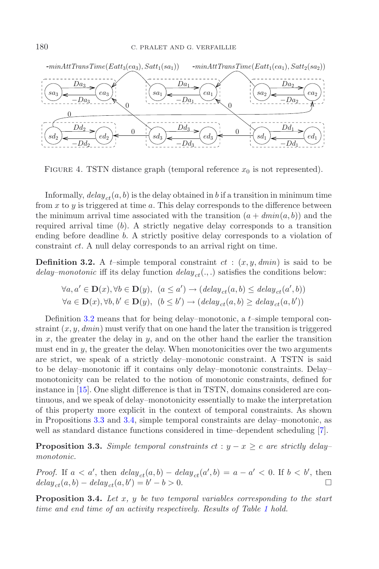<span id="page-7-0"></span>

FIGURE 4. TSTN distance graph (temporal reference  $x_0$  is not represented).

Informally,  $delay_{ct}(a, b)$  is the delay obtained in b if a transition in minimum time from x to y is triggered at time a. This delay corresponds to the difference between the minimum arrival time associated with the transition  $(a + dmin(a, b))$  and the required arrival time  $(b)$ . A strictly negative delay corresponds to a transition ending before deadline b. A strictly positive delay corresponds to a violation of constraint ct. A null delay corresponds to an arrival right on time.

<span id="page-7-1"></span>**Definition 3.2.** A  $t$ -simple temporal constraint  $ct$  :  $(x, y, dmin)$  is said to be *delay–monotonic* iff its delay function  $delay_{ct}(.,.)$  satisfies the conditions below:

$$
\forall a, a' \in \mathbf{D}(x), \forall b \in \mathbf{D}(y), \ (a \le a') \rightarrow (delay_{ct}(a, b) \le delay_{ct}(a', b))
$$
  

$$
\forall a \in \mathbf{D}(x), \forall b, b' \in \mathbf{D}(y), \ (b \le b') \rightarrow (delay_{ct}(a, b) \ge delay_{ct}(a, b'))
$$

Definition [3.2](#page-7-1) means that for being delay–monotonic, a  $t$ –simple temporal constraint  $(x, y, dmin)$  must verify that on one hand the later the transition is triggered in  $x$ , the greater the delay in  $y$ , and on the other hand the earlier the transition must end in  $y$ , the greater the delay. When monotonicities over the two arguments are strict, we speak of a strictly delay–monotonic constraint. A TSTN is said to be delay–monotonic iff it contains only delay–monotonic constraints. Delay– monotonicity can be related to the notion of monotonic constraints, defined for instance in [\[15](#page-24-16)]. One slight difference is that in TSTN, domains considered are continuous, and we speak of delay–monotonicity essentially to make the interpretation of this property more explicit in the context of temporal constraints. As shown in Propositions [3.3](#page-7-2) and [3.4,](#page-7-3) simple temporal constraints are delay–monotonic, as well as standard distance functions considered in time–dependent scheduling [\[7\]](#page-24-3).

<span id="page-7-2"></span>**Proposition 3.3.** *Simple temporal constraints*  $ct : y - x \geq c$  *are strictly delay– monotonic.*

*Proof.* If  $a < a'$ , then  $delay_{ct}(a, b) - delay_{ct}(a', b) = a - a' < 0$ . If  $b < b'$ , then  $delay_{ct}(a, b) - delay_{ct}(a, b') = b' - b > 0.$ 

<span id="page-7-3"></span>**Proposition 3.4.** *Let* x*,* y *be two temporal variables corresponding to the start time and end time of an activity respectively. Results of Table [1](#page-8-0) hold.*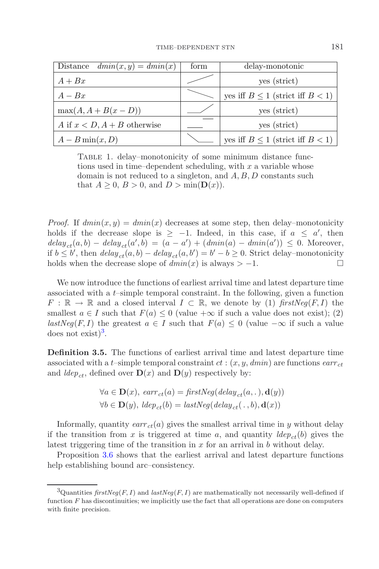<span id="page-8-0"></span>

| Distance $dmin(x, y) = dmin(x)$  | form | delay-monotonic                         |
|----------------------------------|------|-----------------------------------------|
| $A + Bx$                         |      | yes (strict)                            |
| $A - Bx$                         |      | yes iff $B \le 1$ (strict iff $B < 1$ ) |
| $\max(A, A + B(x - D))$          |      | yes (strict)                            |
| A if $x < D$ , $A + B$ otherwise |      | yes (strict)                            |
| $A-B\min(x,D)$                   |      | yes iff $B \le 1$ (strict iff $B < 1$ ) |

TABLE 1. delay–monotonicity of some minimum distance functions used in time–dependent scheduling, with  $x$  a variable whose domain is not reduced to a singleton, and A, B, D constants such that  $A \geq 0$ ,  $B > 0$ , and  $D > \min(\mathbf{D}(x))$ .

*Proof.* If  $dmin(x, y) = dmin(x)$  decreases at some step, then delay–monotonicity holds if the decrease slope is  $\geq -1$ . Indeed, in this case, if  $a \leq a'$ , then  $delay_{ct}(a, b) - delay_{ct}(a', b) = (a - a') + (dmin(a) - dmin(a')) \leq 0$ . Moreover, if  $b \le b'$ , then  $delay_{ct}(a, b) - delay_{ct}(a, b') = b' - b \ge 0$ . Strict delay-monotonicity holds when the decrease slope of  $dmin(x)$  is always  $> -1$ .

We now introduce the functions of earliest arrival time and latest departure time associated with a  $t$ -simple temporal constraint. In the following, given a function  $F : \mathbb{R} \to \mathbb{R}$  and a closed interval  $I \subset \mathbb{R}$ , we denote by (1)  $firstNeg(F, I)$  the smallest  $a \in I$  such that  $F(a) \leq 0$  (value  $+\infty$  if such a value does not exist); (2) *lastNeg*(*F, I*) the greatest  $a \in I$  such that  $F(a) \le 0$  (value  $-\infty$  if such a value does not exist)<sup>[3](#page-8-1)</sup>.

<span id="page-8-1"></span>**Definition 3.5.** The functions of earliest arrival time and latest departure time associated with a t–simple temporal constraint  $ct$  :  $(x, y, dmin)$  are functions  $earr_{ct}$ and *ldep<sub>ct</sub>*, defined over  $\mathbf{D}(x)$  and  $\mathbf{D}(y)$  respectively by:

$$
\forall a \in \mathbf{D}(x), \, \text{earr}_{ct}(a) = \text{firstNeg}(\text{delay}_{ct}(a, .), \mathbf{d}(y))
$$

$$
\forall b \in \mathbf{D}(y), \, \text{ldep}_{ct}(b) = \text{lastNeg}(\text{delay}_{ct}(., b), \mathbf{d}(x))
$$

Informally, quantity  $\text{earr}_{ct}(a)$  gives the smallest arrival time in y without delay if the transition from x is triggered at time a, and quantity  $ldep_{ct}(b)$  gives the latest triggering time of the transition in  $x$  for an arrival in  $b$  without delay.

<span id="page-8-2"></span>Proposition [3.6](#page-8-2) shows that the earliest arrival and latest departure functions help establishing bound arc–consistency.

<sup>&</sup>lt;sup>3</sup>Quantities *firstNeg*(*F, I*) and *lastNeg*(*F, I*) are mathematically not necessarily well-defined if function  $F$  has discontinuities; we implicitly use the fact that all operations are done on computers with finite precision.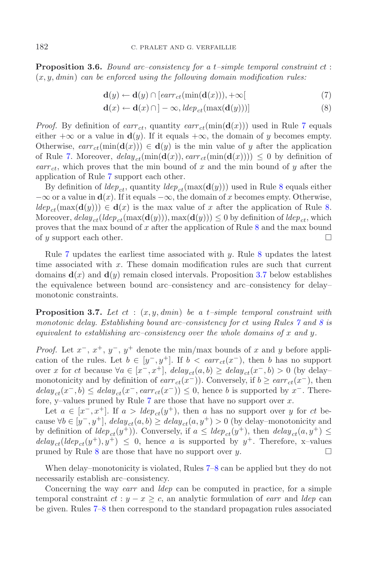<span id="page-9-0"></span>**Proposition 3.6.** *Bound arc–consistency for a* t*–simple temporal constraint* ct : (x, y, *dmin*) *can be enforced using the following domain modification rules:*

$$
\mathbf{d}(y) \leftarrow \mathbf{d}(y) \cap [earr_{ct}(\min(\mathbf{d}(x))), +\infty[ \tag{7}
$$

$$
\mathbf{d}(x) \leftarrow \mathbf{d}(x) \cap ]-\infty, \text{ldep}_{ct}(\max(\mathbf{d}(y)))] \tag{8}
$$

*Proof.* By definition of  $\text{earr}_{ct}$ , quantity  $\text{earr}_{ct}(\min(\mathbf{d}(x)))$  used in Rule [7](#page-9-0) equals either  $+\infty$  or a value in **d**(y). If it equals  $+\infty$ , the domain of y becomes empty. Otherwise,  $earr_{ct}(\min(\mathbf{d}(x))) \in \mathbf{d}(y)$  is the min value of y after the application of Rule [7.](#page-9-0) Moreover,  $delay_{ct}(\min(\mathbf{d}(x)), ear_{ct}(\min(\mathbf{d}(x)))) \leq 0$  by definition of  $\epsilon \text{arr}_{ct}$ , which proves that the min bound of x and the min bound of y after the application of Rule [7](#page-9-0) support each other.

By definition of  $\text{Idep}_{ct}$ , quantity  $\text{Idep}_{ct}(\max(\mathbf{d}(y)))$  used in Rule [8](#page-9-0) equals either  $-\infty$  or a value in **d**(x). If it equals  $-\infty$ , the domain of x becomes empty. Otherwise,  $ldep_{ct}(\max(\mathbf{d}(y))) \in \mathbf{d}(x)$  is the max value of x after the application of Rule [8.](#page-9-0) Moreover,  $delay_{ct}(deep_{ct}(\max(\mathbf{d}(y))), \max(\mathbf{d}(y))) \leq 0$  by definition of  $ilde_{ct}$ , which proves that the max bound of x after the application of Rule [8](#page-9-0) and the max bound of  $y$  support each other.

Rule  $7$  updates the earliest time associated with  $y$ . Rule  $8$  updates the latest time associated with x. These domain modification rules are such that current domains  $\mathbf{d}(x)$  and  $\mathbf{d}(y)$  remain closed intervals. Proposition [3.7](#page-9-1) below establishes the equivalence between bound arc–consistency and arc–consistency for delay– monotonic constraints.

<span id="page-9-1"></span>**Proposition 3.7.** Let  $ct$  :  $(x, y, dmin)$  be a t-simple temporal constraint with *monotonic delay. Establishing bound arc–consistency for* ct *using Rules [7](#page-9-0) and [8](#page-9-0) is equivalent to establishing arc–consistency over the whole domains of* x *and* y*.*

*Proof.* Let  $x^{-}$ ,  $x^{+}$ ,  $y^{-}$ ,  $y^{+}$  denote the min/max bounds of x and y before application of the rules. Let  $b \in [y^-, y^+]$ . If  $b < earr_{ct}(x^-)$ , then b has no support over x for ct because  $\forall a \in [x^-, x^+]$ ,  $delay_{ct}(a, b) \geq delay_{ct}(x^-, b) > 0$  (by delaymonotonicity and by definition of  $earr_{ct}(x^-)$ ). Conversely, if  $b \geq earr_{ct}(x^-)$ , then  $delay_{ct}(x^-, b) \leq delay_{ct}(x^-, earr_{ct}(x^-)) \leq 0$ , hence b is supported by x<sup>-</sup>. Therefore, y-values pruned by Rule  $7$  are those that have no support over  $x$ .

Let  $a \in [x^-, x^+]$ . If  $a > \text{dep}_{ct}(y^+)$ , then a has no support over y for ct because  $∀b ∈ [y<sup>-</sup>, y<sup>+</sup>],$   $delay_{ct}(a, b) ≥ delay_{ct}(a, y<sup>+</sup>) > 0$  (by delay-monotonicity and by definition of  $dep_{ct}(y^+)$ ). Conversely, if  $a \leq dep_{ct}(y^+)$ , then  $dep_{ct}(a, y^+) \leq$  $delay_{ct}(ldep_{ct}(y^+), y^+) \leq 0$ , hence a is supported by  $y^+$ . Therefore, x-values pruned by Rule [8](#page-9-0) are those that have no support over y.  $\Box$ 

When delay–monotonicity is violated, Rules [7–8](#page-9-0) can be applied but they do not necessarily establish arc–consistency.

Concerning the way *earr* and *ldep* can be computed in practice, for a simple temporal constraint  $ct : y - x \geq c$ , an analytic formulation of *earr* and *ldep* can be given. Rules [7–8](#page-9-0) then correspond to the standard propagation rules associated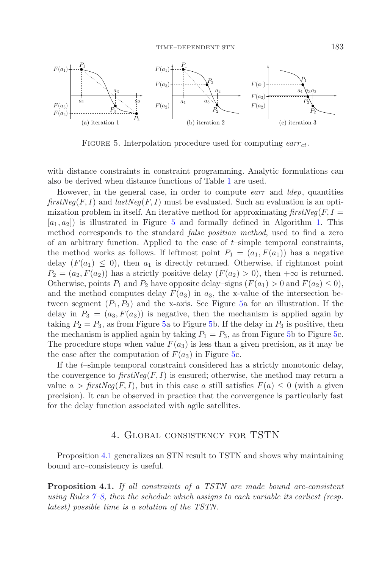<span id="page-10-0"></span>

FIGURE 5. Interpolation procedure used for computing *earr*  $_{ct}$ .

with distance constraints in constraint programming. Analytic formulations can also be derived when distance functions of Table [1](#page-8-0) are used.

However, in the general case, in order to compute *earr* and *ldep*, quantities *firstNeg*( $F, I$ ) and *lastNeg*( $F, I$ ) must be evaluated. Such an evaluation is an optimization problem in itself. An iterative method for approximating  $firstNeg(F, I =$  $[a_1, a_2]$  is illustrated in Figure [5](#page-10-0) and formally defined in Algorithm [1.](#page-11-0) This method corresponds to the standard *false position method*, used to find a zero of an arbitrary function. Applied to the case of  $t$ –simple temporal constraints, the method works as follows. If leftmost point  $P_1 = (a_1, F(a_1))$  has a negative delay  $(F(a_1) \leq 0)$ , then  $a_1$  is directly returned. Otherwise, if rightmost point  $P_2 = (a_2, F(a_2))$  has a strictly positive delay  $(F(a_2) > 0)$ , then  $+\infty$  is returned. Otherwise, points  $P_1$  and  $P_2$  have opposite delay–signs  $(F(a_1) > 0$  and  $F(a_2) \leq 0)$ , and the method computes delay  $F(a_3)$  in  $a_3$ , the x-value of the intersection between segment  $(P_1, P_2)$  and the x-axis. See Figure [5a](#page-10-0) for an illustration. If the delay in  $P_3 = (a_3, F(a_3))$  is negative, then the mechanism is applied again by taking  $P_2 = P_3$ , as from Figure [5a](#page-10-0) to Figure [5b](#page-10-0). If the delay in  $P_3$  is positive, then the mechanism is applied again by taking  $P_1 = P_3$ , as from Figure [5b](#page-10-0) to Figure [5c](#page-10-0). The procedure stops when value  $F(a_3)$  is less than a given precision, as it may be the case after the computation of  $F(a_3)$  in Figure [5c](#page-10-0).

If the t–simple temporal constraint considered has a strictly monotonic delay, the convergence to  $firstNeg(F, I)$  is ensured; otherwise, the method may return a value  $a > \text{firstNeg}(F, I)$ , but in this case a still satisfies  $F(a) \leq 0$  (with a given precision). It can be observed in practice that the convergence is particularly fast for the delay function associated with agile satellites.

### 4. Global consistency for TSTN

<span id="page-10-1"></span>Proposition [4.1](#page-10-1) generalizes an STN result to TSTN and shows why maintaining bound arc–consistency is useful.

**Proposition 4.1.** *If all constraints of a TSTN are made bound arc-consistent using Rules [7–8,](#page-9-0) then the schedule which assigns to each variable its earliest (resp. latest) possible time is a solution of the TSTN.*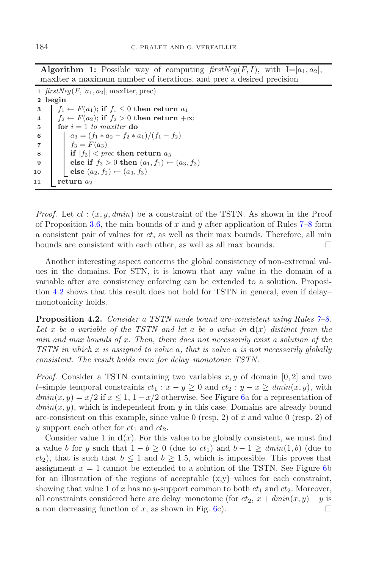**Algorithm 1:** Possible way of computing  $firstNea(F, I)$ , with  $I=[a_1, a_2]$ . maxIter a maximum number of iterations, and prec a desired precision

  $firstNeg(F, [a_1, a_2], \text{maxIter}, \text{prec})$ **2 begin**  $f_1 \leftarrow F(a_1);$  **if**  $f_1 \leq 0$  **then return**  $a_1$ <br> **4**  $f_2 \leftarrow F(a_2);$  **if**  $f_2 > 0$  **then return**  $+$   $f_2 \leftarrow F(a_2)$ ; if  $f_2 > 0$  then return +∞<br>5 for  $i = 1$  to maxIter do **for**  $i = 1$  *to maxIter* **do**<br>**6 d**<sub> $a_3 = (f_1 * a_2 - f_2 * c_1)$ </sub> **a**<sub>3</sub> =  $(f_1 * a_2 - f_2 * a_1)/(f_1 - f_2)$ <br> **6 f**<sub>3</sub> =  $F(a_3)$  $f_3 = F(a_3)$  **if**  $|f_3| < prec$  **then return**  $a_3$ <br>**else if**  $f_3 > 0$  **then**  $(a_1, f_1) \leftarrow$  **else if**  $f_3 > 0$  **then**  $(a_1, f_1) \leftarrow (a_3, f_3)$ <br>**else**  $(a_2, f_2) \leftarrow (a_3, f_3)$ **else**  $(a_2, f_2)$  ←  $(a_3, f_3)$ **return** *a*<sup>2</sup>

<span id="page-11-0"></span>*Proof.* Let  $ct$ :  $(x, y, dmin)$  be a constraint of the TSTN. As shown in the Proof of Proposition [3.6,](#page-8-2) the min bounds of x and y after application of Rules  $7-8$  form a consistent pair of values for ct, as well as their max bounds. Therefore, all min bounds are consistent with each other, as well as all max bounds.  $\Box$ 

Another interesting aspect concerns the global consistency of non-extremal values in the domains. For STN, it is known that any value in the domain of a variable after arc–consistency enforcing can be extended to a solution. Proposition [4.2](#page-11-1) shows that this result does not hold for TSTN in general, even if delay– monotonicity holds.

<span id="page-11-1"></span>**Proposition 4.2.** *Consider a TSTN made bound arc-consistent using Rules [7–8.](#page-9-0)* Let x be a variable of the TSTN and let a be a value in  $\mathbf{d}(x)$  distinct from the *min and max bounds of* x*. Then, there does not necessarily exist a solution of the TSTN in which* x *is assigned to value* a*, that is value* a *is not necessarily globally consistent. The result holds even for delay–monotonic TSTN.*

*Proof.* Consider a TSTN containing two variables  $x, y$  of domain [0, 2] and two t–simple temporal constraints  $ct_1 : x - y \geq 0$  and  $ct_2 : y - x \geq dmin(x, y)$ , with  $dmin(x, y) = x/2$  if  $x \le 1$ ,  $1 - x/2$  otherwise. See Figure [6a](#page-12-0) for a representation of  $dmin(x, y)$ , which is independent from y in this case. Domains are already bound arc-consistent on this example, since value 0 (resp. 2) of x and value 0 (resp. 2) of y support each other for  $ct_1$  and  $ct_2$ .

Consider value 1 in  $\mathbf{d}(x)$ . For this value to be globally consistent, we must find a value b for y such that  $1 - b \ge 0$  (due to  $ct_1$ ) and  $b - 1 \ge dim(n)(1, b)$  (due to  $ct_2$ ), that is such that  $b \le 1$  and  $b \ge 1.5$ , which is impossible. This proves that assignment  $x = 1$  cannot be extended to a solution of the TSTN. See Figure [6b](#page-12-0) for an illustration of the regions of acceptable  $(x,y)$ –values for each constraint, showing that value 1 of x has no y-support common to both  $ct_1$  and  $ct_2$ . Moreover, all constraints considered here are delay–monotonic (for  $ct_2$ ,  $x + \dim(x, y) - y$  is a non decreasing function of x, as shown in Fig. [6c](#page-12-0)).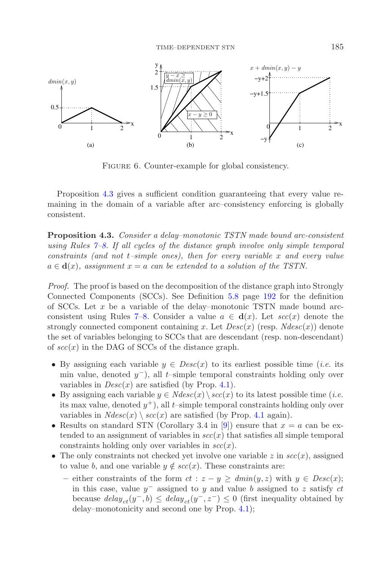<span id="page-12-0"></span>

FIGURE 6. Counter-example for global consistency.

<span id="page-12-1"></span>Proposition [4.3](#page-12-1) gives a sufficient condition guaranteeing that every value remaining in the domain of a variable after arc–consistency enforcing is globally consistent.

**Proposition 4.3.** *Consider a delay–monotonic TSTN made bound arc-consistent using Rules [7–8.](#page-9-0) If all cycles of the distance graph involve only simple temporal constraints (and not* t*–simple ones), then for every variable* x *and every value*  $a \in \mathbf{d}(x)$ , assignment  $x = a$  can be extended to a solution of the TSTN.

*Proof.* The proof is based on the decomposition of the distance graph into Strongly Connected Components (SCCs). See Definition [5.8](#page-19-0) page [192](#page-19-0) for the definition of SCCs. Let  $x$  be a variable of the delay–monotonic TSTN made bound arc-consistent using Rules [7–8.](#page-9-0) Consider a value  $a \in d(x)$ . Let  $\sec(x)$  denote the strongly connected component containing x. Let  $Desc(x)$  (resp.  $Ndesc(x))$  denote the set of variables belonging to SCCs that are descendant (resp. non-descendant) of  $\sec(x)$  in the DAG of SCCs of the distance graph.

- By assigning each variable  $y \in Desc(x)$  to its earliest possible time *(i.e.* its min value, denoted  $y^-$ ), all t–simple temporal constraints holding only over variables in  $Desc(x)$  are satisfied (by Prop. [4.1\)](#page-10-1).
- By assigning each variable  $y \in Ndesc(x) \setminus \mathit{scc}(x)$  to its latest possible time (*i.e.*) its max value, denoted  $y^+$ ), all t–simple temporal constraints holding only over variables in  $Ndesc(x) \setminus \mathit{scc}(x)$  are satisfied (by Prop. [4.1](#page-10-1) again).
- Results on standard STN (Corollary 3.4 in [\[9](#page-24-0)]) ensure that  $x = a$  can be extended to an assignment of variables in  $\sec(x)$  that satisfies all simple temporal constraints holding only over variables in  $\sec(x)$ .
- The only constraints not checked yet involve one variable  $z$  in  $\sec(x)$ , assigned to value b, and one variable  $y \notin \mathit{scc}(x)$ . These constraints are:
	- either constraints of the form  $ct$  :  $z y \geq dmin(y, z)$  with  $y \in Desc(x);$ in this case, value  $y^-$  assigned to y and value b assigned to z satisfy  $ct$ because  $delay_{ct}(y^-, b) \leq delay_{ct}(y^-, z^-) \leq 0$  (first inequality obtained by delay–monotonicity and second one by Prop. [4.1\)](#page-10-1);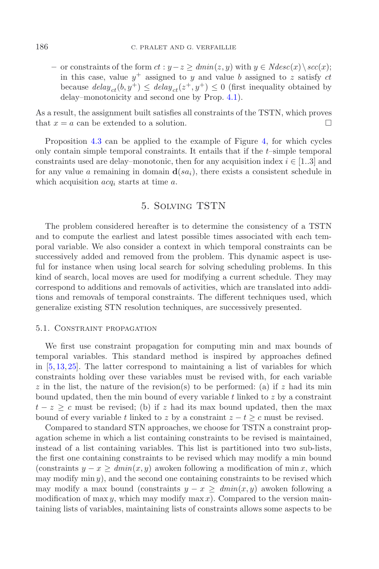$-$  or constraints of the form  $ct : y-z \geq dmin(z, y)$  with  $y \in Ndesc(x)\backslash sec(x);$ in this case, value  $y^+$  assigned to y and value b assigned to z satisfy ct because  $delay_{ct}(b, y^+) \leq delay_{ct}(z^+, y^+) \leq 0$  (first inequality obtained by delay–monotonicity and second one by Prop. [4.1\)](#page-10-1).

As a result, the assignment built satisfies all constraints of the TSTN, which proves that  $x = a$  can be extended to a solution.

Proposition [4.3](#page-12-1) can be applied to the example of Figure [4,](#page-7-0) for which cycles only contain simple temporal constraints. It entails that if the t–simple temporal constraints used are delay–monotonic, then for any acquisition index  $i \in [1..3]$  and for any value a remaining in domain  $\mathbf{d}(sa_i)$ , there exists a consistent schedule in which acquisition acq*<sup>i</sup>* starts at time a.

# 5. Solving TSTN

<span id="page-13-0"></span>The problem considered hereafter is to determine the consistency of a TSTN and to compute the earliest and latest possible times associated with each temporal variable. We also consider a context in which temporal constraints can be successively added and removed from the problem. This dynamic aspect is useful for instance when using local search for solving scheduling problems. In this kind of search, local moves are used for modifying a current schedule. They may correspond to additions and removals of activities, which are translated into additions and removals of temporal constraints. The different techniques used, which generalize existing STN resolution techniques, are successively presented.

#### 5.1. Constraint propagation

We first use constraint propagation for computing min and max bounds of temporal variables. This standard method is inspired by approaches defined in [\[5](#page-24-10), [13](#page-24-11), [25](#page-25-1)]. The latter correspond to maintaining a list of variables for which constraints holding over these variables must be revised with, for each variable z in the list, the nature of the revision(s) to be performed: (a) if z had its min bound updated, then the min bound of every variable  $t$  linked to  $z$  by a constraint  $t - z \geq c$  must be revised; (b) if z had its max bound updated, then the max bound of every variable t linked to z by a constraint  $z - t \geq c$  must be revised.

Compared to standard STN approaches, we choose for TSTN a constraint propagation scheme in which a list containing constraints to be revised is maintained, instead of a list containing variables. This list is partitioned into two sub-lists, the first one containing constraints to be revised which may modify a min bound (constraints  $y - x \geq dmin(x, y)$  awoken following a modification of min x, which may modify  $\min y$ , and the second one containing constraints to be revised which may modify a max bound (constraints  $y - x \geq \text{dmin}(x, y)$  awoken following a modification of max y, which may modify max x). Compared to the version maintaining lists of variables, maintaining lists of constraints allows some aspects to be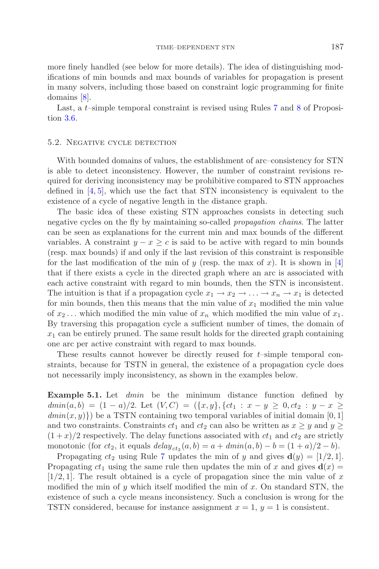more finely handled (see below for more details). The idea of distinguishing modifications of min bounds and max bounds of variables for propagation is present in many solvers, including those based on constraint logic programming for finite domains [\[8\]](#page-24-17).

Last, a *t*–simple temporal constraint is revised using Rules [7](#page-9-0) and [8](#page-9-0) of Proposition [3.6.](#page-8-2)

#### 5.2. Negative cycle detection

With bounded domains of values, the establishment of arc–consistency for STN is able to detect inconsistency. However, the number of constraint revisions required for deriving inconsistency may be prohibitive compared to STN approaches defined in  $[4, 5]$  $[4, 5]$  $[4, 5]$ , which use the fact that STN inconsistency is equivalent to the existence of a cycle of negative length in the distance graph.

The basic idea of these existing STN approaches consists in detecting such negative cycles on the fly by maintaining so-called *propagation chains*. The latter can be seen as explanations for the current min and max bounds of the different variables. A constraint  $y - x \geq c$  is said to be active with regard to min bounds (resp. max bounds) if and only if the last revision of this constraint is responsible for the last modification of the min of y (resp. the max of x). It is shown in [\[4](#page-24-9)] that if there exists a cycle in the directed graph where an arc is associated with each active constraint with regard to min bounds, then the STN is inconsistent. The intuition is that if a propagation cycle  $x_1 \to x_2 \to \ldots \to x_n \to x_1$  is detected for min bounds, then this means that the min value of  $x_1$  modified the min value of  $x_2 \ldots$  which modified the min value of  $x_n$  which modified the min value of  $x_1$ . By traversing this propagation cycle a sufficient number of times, the domain of  $x_1$  can be entirely pruned. The same result holds for the directed graph containing one arc per active constraint with regard to max bounds.

These results cannot however be directly reused for  $t$ –simple temporal constraints, because for TSTN in general, the existence of a propagation cycle does not necessarily imply inconsistency, as shown in the examples below.

<span id="page-14-0"></span>**Example 5.1.** Let *dmin* be the minimum distance function defined by  $dmin(a, b) = (1 - a)/2$ . Let  $(V, C) = (\{x, y\}, \{ct_1 : x - y \ge 0, ct_2 : y - x \ge 0\})$  $dmin(x, y)$  be a TSTN containing two temporal variables of initial domain [0, 1] and two constraints. Constraints  $ct_1$  and  $ct_2$  can also be written as  $x \geq y$  and  $y \geq$  $(1+x)/2$  respectively. The delay functions associated with  $ct_1$  and  $ct_2$  are strictly monotonic (for  $ct_2$ , it equals  $delay_{ct_2}(a, b) = a + dmin(a, b) - b = (1 + a)/2 - b$ ).

<span id="page-14-1"></span>Propagating  $ct_2$  using Rule [7](#page-9-0) updates the min of y and gives  $\mathbf{d}(y) = [1/2, 1]$ . Propagating  $ct_1$  using the same rule then updates the min of x and gives  $\mathbf{d}(x) =$  $[1/2, 1]$ . The result obtained is a cycle of propagation since the min value of x modified the min of y which itself modified the min of x. On standard STN, the existence of such a cycle means inconsistency. Such a conclusion is wrong for the TSTN considered, because for instance assignment  $x = 1$ ,  $y = 1$  is consistent.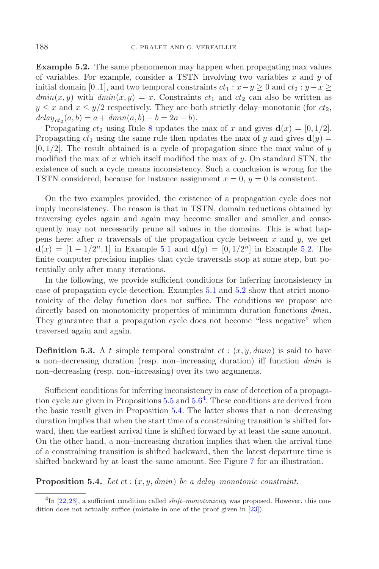**Example 5.2.** The same phenomenon may happen when propagating max values of variables. For example, consider a TSTN involving two variables  $x$  and  $y$  of initial domain [0..1], and two temporal constraints  $ct_1 : x - y \ge 0$  and  $ct_2 : y - x \ge 0$  $dmin(x, y)$  with  $dmin(x, y) = x$ . Constraints  $ct_1$  and  $ct_2$  can also be written as  $y \leq x$  and  $x \leq y/2$  respectively. They are both strictly delay–monotonic (for  $ct_2$ ,  $delay_{ct_2}(a, b) = a + dmin(a, b) - b = 2a - b).$ 

Propagating  $ct_2$  using Rule [8](#page-9-0) updates the max of x and gives  $\mathbf{d}(x) = [0, 1/2]$ . Propagating  $ct_1$  using the same rule then updates the max of y and gives  $\mathbf{d}(y)$  =  $[0, 1/2]$ . The result obtained is a cycle of propagation since the max value of y modified the max of x which itself modified the max of  $y$ . On standard STN, the existence of such a cycle means inconsistency. Such a conclusion is wrong for the TSTN considered, because for instance assignment  $x = 0$ ,  $y = 0$  is consistent.

On the two examples provided, the existence of a propagation cycle does not imply inconsistency. The reason is that in TSTN, domain reductions obtained by traversing cycles again and again may become smaller and smaller and consequently may not necessarily prune all values in the domains. This is what happens here: after n traversals of the propagation cycle between  $x$  and  $y$ , we get **d**(x) = [1 − 1/2<sup>n</sup>, 1] in Example [5.1](#page-14-0) and **d**(y) = [0, 1/2<sup>n</sup>] in Example [5.2.](#page-14-1) The finite computer precision implies that cycle traversals stop at some step, but potentially only after many iterations.

In the following, we provide sufficient conditions for inferring inconsistency in case of propagation cycle detection. Examples [5.1](#page-14-0) and [5.2](#page-14-1) show that strict monotonicity of the delay function does not suffice. The conditions we propose are directly based on monotonicity properties of minimum duration functions *dmin*. They guarantee that a propagation cycle does not become "less negative" when traversed again and again.

**Definition 5.3.** A t–simple temporal constraint  $ct$  :  $(x, y, dmin)$  is said to have a non–decreasing duration (resp. non–increasing duration) iff function *dmin* is non–decreasing (resp. non–increasing) over its two arguments.

<span id="page-15-0"></span>Sufficient conditions for inferring inconsistency in case of detection of a propagation cycle are given in Propositions  $5.5$  and  $5.6<sup>4</sup>$  $5.6<sup>4</sup>$  $5.6<sup>4</sup>$  $5.6<sup>4</sup>$ . These conditions are derived from the basic result given in Proposition [5.4.](#page-15-1) The latter shows that a non–decreasing duration implies that when the start time of a constraining transition is shifted forward, then the earliest arrival time is shifted forward by at least the same amount. On the other hand, a non–increasing duration implies that when the arrival time of a constraining transition is shifted backward, then the latest departure time is shifted backward by at least the same amount. See Figure [7](#page-16-0) for an illustration.

<span id="page-15-1"></span>**Proposition 5.4.** *Let* ct : (x, y, *dmin*) *be a delay–monotonic constraint.*

<sup>4</sup>In [\[22](#page-24-5),[23](#page-24-6)], a sufficient condition called *shift–monotonicity* was proposed. However, this condition does not actually suffice (mistake in one of the proof given in [\[23\]](#page-24-6)).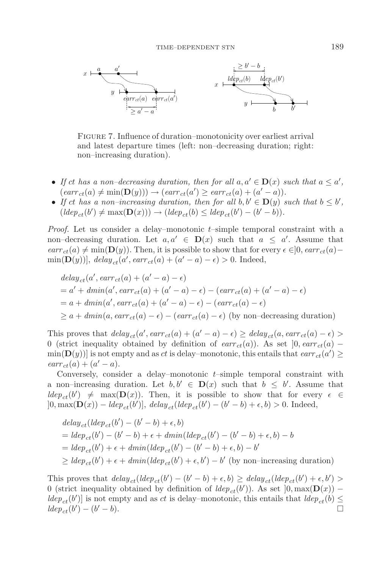<span id="page-16-0"></span>

Figure 7. Influence of duration–monotonicity over earliest arrival and latest departure times (left: non–decreasing duration; right: non–increasing duration).

- If ct has a non-decreasing duration, then for all  $a, a' \in D(x)$  such that  $a \leq a'$ ,  $(earr_{ct}(a) \neq min(D(y))) \rightarrow (earr_{ct}(a') \geq earr_{ct}(a) + (a' - a)).$
- If ct has a non-increasing duration, then for all  $b, b' \in D(y)$  such that  $b \leq b'$ ,  $(\text{ldep}_{ct}(b') \neq \max(\mathbf{D}(x))) \rightarrow (\text{ldep}_{ct}(b) \leq \text{ldep}_{ct}(b') - (b' - b)).$

*Proof.* Let us consider a delay–monotonic t–simple temporal constraint with a non–decreasing duration. Let  $a, a' \in D(x)$  such that  $a \le a'$ . Assume that  $\text{earr}_{ct}(a) \neq \min(\mathbf{D}(y))$ . Then, it is possible to show that for every  $\epsilon \in ]0, \text{earr}_{ct}(a)$  $\min(\mathbf{D}(y))$ ,  $delay_{ct}(a', earr_{ct}(a) + (a' - a) - \epsilon) > 0$ . Indeed,

$$
delay_{ct}(a', earr_{ct}(a) + (a' - a) - \epsilon)
$$
  
= a' +  $dmin(a', earr_{ct}(a) + (a' - a) - \epsilon) - (earr_{ct}(a) + (a' - a) - \epsilon)$   
= a +  $dmin(a', earr_{ct}(a) + (a' - a) - \epsilon) - (earr_{ct}(a) - \epsilon)$   
 $\ge a + dmin(a, earr_{ct}(a) - \epsilon) - (earr_{ct}(a) - \epsilon)$  (by non-decreasing duration)

This proves that  $delay_{ct}(a', earr_{ct}(a) + (a' - a) - \epsilon) \geq delay_{ct}(a, earr_{ct}(a) - \epsilon)$ 0 (strict inequality obtained by definition of  $\text{earr}_{ct}(a)$ ). As set  $]0, \text{earr}_{ct}(a)$  −  $\min(\mathbf{D}(y))$  is not empty and as *ct* is delay–monotonic, this entails that  $\text{earr}_{ct}(a') \geq$  $earr_{ct}(a) + (a' - a).$ 

Conversely, consider a delay–monotonic  $t$ –simple temporal constraint with a non–increasing duration. Let  $b, b' \in \mathbf{D}(x)$  such that  $b \leq b'$ . Assume that  $ldep_{ct}(b') \neq \max(D(x))$ . Then, it is possible to show that for every  $\epsilon \in$  $]0, \max(\mathbf{D}(x)) - \text{ld}ep_{ct}(b')], \text{ delay}_{ct}(\text{ld}ep_{ct}(b') - (b' - b) + \epsilon, b) > 0.$  Indeed,

$$
delay_{ct}(ldep_{ct}(b') - (b' - b) + \epsilon, b)
$$
  
=  $ldep_{ct}(b') - (b' - b) + \epsilon + dmin(ldep_{ct}(b') - (b' - b) + \epsilon, b) - b$   
=  $ldep_{ct}(b') + \epsilon + dmin(ldep_{ct}(b') - (b' - b) + \epsilon, b) - b'$   
 $\geq ldep_{ct}(b') + \epsilon + dmin(ldep_{ct}(b') + \epsilon, b') - b'$  (by non-increasing duration)

This proves that  $delay_{ct}(ldep_{ct}(b') - (b' - b) + \epsilon, b) \geq delay_{ct}(ldep_{ct}(b') + \epsilon, b') >$ 0 (strict inequality obtained by definition of  $ldep_{ct}(b')$ ). As set  $]0, max(D(x))$  –  $ldep_{ct}(b')$  is not empty and as *ct* is delay–monotonic, this entails that  $ldep_{ct}(b) \leq$  $ldep_{ct}(b') - (b' - b).$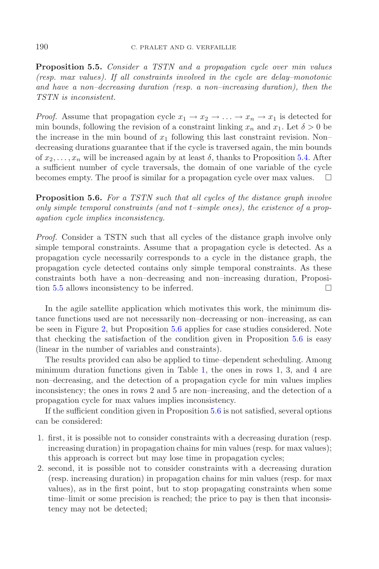<span id="page-17-0"></span>**Proposition 5.5.** *Consider a TSTN and a propagation cycle over min values (resp. max values). If all constraints involved in the cycle are delay–monotonic and have a non–decreasing duration (resp. a non–increasing duration), then the TSTN is inconsistent.*

*Proof.* Assume that propagation cycle  $x_1 \to x_2 \to \ldots \to x_n \to x_1$  is detected for min bounds, following the revision of a constraint linking  $x_n$  and  $x_1$ . Let  $\delta > 0$  be the increase in the min bound of  $x_1$  following this last constraint revision. Non– decreasing durations guarantee that if the cycle is traversed again, the min bounds of  $x_2, \ldots, x_n$  will be increased again by at least  $\delta$ , thanks to Proposition [5.4.](#page-15-1) After a sufficient number of cycle traversals, the domain of one variable of the cycle becomes empty. The proof is similar for a propagation cycle over max values. -

<span id="page-17-1"></span>**Proposition 5.6.** *For a TSTN such that all cycles of the distance graph involve only simple temporal constraints (and not* t*–simple ones), the existence of a propagation cycle implies inconsistency.*

*Proof.* Consider a TSTN such that all cycles of the distance graph involve only simple temporal constraints. Assume that a propagation cycle is detected. As a propagation cycle necessarily corresponds to a cycle in the distance graph, the propagation cycle detected contains only simple temporal constraints. As these constraints both have a non–decreasing and non–increasing duration, Proposi-tion [5.5](#page-17-0) allows inconsistency to be inferred.  $\Box$ 

In the agile satellite application which motivates this work, the minimum distance functions used are not necessarily non–decreasing or non–increasing, as can be seen in Figure [2,](#page-2-1) but Proposition [5.6](#page-17-1) applies for case studies considered. Note that checking the satisfaction of the condition given in Proposition [5.6](#page-17-1) is easy (linear in the number of variables and constraints).

The results provided can also be applied to time–dependent scheduling. Among minimum duration functions given in Table [1,](#page-8-0) the ones in rows 1, 3, and 4 are non–decreasing, and the detection of a propagation cycle for min values implies inconsistency; the ones in rows 2 and 5 are non–increasing, and the detection of a propagation cycle for max values implies inconsistency.

If the sufficient condition given in Proposition [5.6](#page-17-1) is not satisfied, several options can be considered:

- 1. first, it is possible not to consider constraints with a decreasing duration (resp. increasing duration) in propagation chains for min values (resp. for max values); this approach is correct but may lose time in propagation cycles;
- 2. second, it is possible not to consider constraints with a decreasing duration (resp. increasing duration) in propagation chains for min values (resp. for max values), as in the first point, but to stop propagating constraints when some time–limit or some precision is reached; the price to pay is then that inconsistency may not be detected;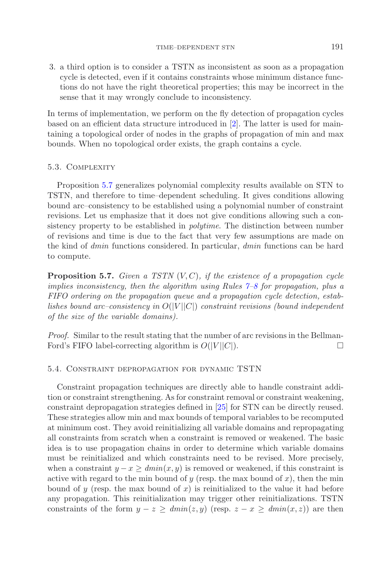3. a third option is to consider a TSTN as inconsistent as soon as a propagation cycle is detected, even if it contains constraints whose minimum distance functions do not have the right theoretical properties; this may be incorrect in the sense that it may wrongly conclude to inconsistency.

In terms of implementation, we perform on the fly detection of propagation cycles based on an efficient data structure introduced in [\[2\]](#page-24-18). The latter is used for maintaining a topological order of nodes in the graphs of propagation of min and max bounds. When no topological order exists, the graph contains a cycle.

### 5.3. Complexity

Proposition [5.7](#page-18-0) generalizes polynomial complexity results available on STN to TSTN, and therefore to time–dependent scheduling. It gives conditions allowing bound arc–consistency to be established using a polynomial number of constraint revisions. Let us emphasize that it does not give conditions allowing such a consistency property to be established in *polytime*. The distinction between number of revisions and time is due to the fact that very few assumptions are made on the kind of *dmin* functions considered. In particular, *dmin* functions can be hard to compute.

<span id="page-18-0"></span>**Proposition 5.7.** *Given a TSTN* (V,C)*, if the existence of a propagation cycle implies inconsistency, then the algorithm using Rules [7–8](#page-9-0) for propagation, plus a FIFO ordering on the propagation queue and a propagation cycle detection, establishes bound arc–consistency in* O(|V ||C|) *constraint revisions (bound independent of the size of the variable domains).*

*Proof.* Similar to the result stating that the number of arc revisions in the Bellman-Ford's FIFO label-correcting algorithm is  $O(|V||C|)$ .

#### 5.4. Constraint depropagation for dynamic TSTN

Constraint propagation techniques are directly able to handle constraint addition or constraint strengthening. As for constraint removal or constraint weakening, constraint depropagation strategies defined in [\[25](#page-25-1)] for STN can be directly reused. These strategies allow min and max bounds of temporal variables to be recomputed at minimum cost. They avoid reinitializing all variable domains and repropagating all constraints from scratch when a constraint is removed or weakened. The basic idea is to use propagation chains in order to determine which variable domains must be reinitialized and which constraints need to be revised. More precisely, when a constraint  $y - x \geq \text{dmin}(x, y)$  is removed or weakened, if this constraint is active with regard to the min bound of y (resp. the max bound of  $x$ ), then the min bound of y (resp. the max bound of x) is reinitialized to the value it had before any propagation. This reinitialization may trigger other reinitializations. TSTN constraints of the form  $y - z \geq dmin(z, y)$  (resp.  $z - x \geq dmin(x, z)$ ) are then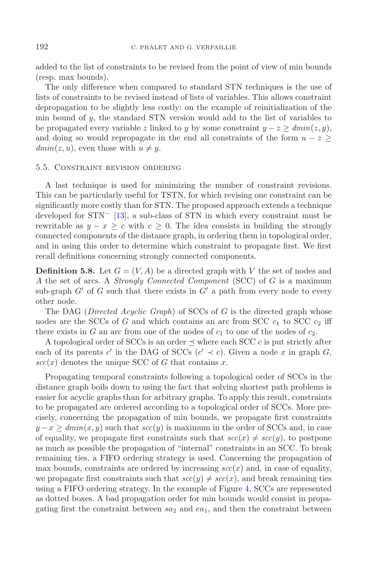added to the list of constraints to be revised from the point of view of min bounds (resp. max bounds).

The only difference when compared to standard STN techniques is the use of lists of constraints to be revised instead of lists of variables. This allows constraint depropagation to be slightly less costly: on the example of reinitialization of the min bound of  $y$ , the standard STN version would add to the list of variables to be propagated every variable z linked to y by some constraint  $y - z \geq dmin(z, y)$ , and doing so would repropagate in the end all constraints of the form  $u - z$  $dmin(z, u)$ , even those with  $u \neq y$ .

#### 5.5. Constraint revision ordering

A last technique is used for minimizing the number of constraint revisions. This can be particularly useful for TSTN, for which revising one constraint can be significantly more costly than for STN. The proposed approach extends a technique developed for STN<sup>−</sup> [\[13\]](#page-24-11), a sub-class of STN in which every constraint must be rewritable as  $y - x > c$  with  $c > 0$ . The idea consists in building the strongly connected components of the distance graph, in ordering them in topological order, and in using this order to determine which constraint to propagate first. We first recall definitions concerning strongly connected components.

<span id="page-19-0"></span>**Definition 5.8.** Let  $G = (V, A)$  be a directed graph with V the set of nodes and A the set of arcs. A *Strongly Connected Component* (SCC) of G is a maximum sub-graph  $G'$  of G such that there exists in  $G'$  a path from every node to every other node.

The DAG (*Directed Acyclic Graph*) of SCCs of G is the directed graph whose nodes are the SCCs of G and which contains an arc from SCC  $c_1$  to SCC  $c_2$  iff there exists in G an arc from one of the nodes of  $c_1$  to one of the nodes of  $c_2$ .

A topological order of SCCs is an order  $\preceq$  where each SCC c is put strictly after each of its parents c' in the DAG of SCCs (c'  $\prec$  c). Given a node x in graph G,  $scc(x)$  denotes the unique SCC of G that contains x.

Propagating temporal constraints following a topological order of SCCs in the distance graph boils down to using the fact that solving shortest path problems is easier for acyclic graphs than for arbitrary graphs. To apply this result, constraints to be propagated are ordered according to a topological order of SCCs. More precisely, concerning the propagation of min bounds, we propagate first constraints  $y - x \geq dmin(x, y)$  such that  $scc(y)$  is maximum in the order of SCCs and, in case of equality, we propagate first constraints such that  $\operatorname{sec}(x) \neq \operatorname{sec}(y)$ , to postpone as much as possible the propagation of "internal" constraints in an SCC. To break remaining ties, a FIFO ordering strategy is used. Concerning the propagation of max bounds, constraints are ordered by increasing  $\sec(x)$  and, in case of equality, we propagate first constraints such that  $\operatorname{scc}(y) \neq \operatorname{scc}(x)$ , and break remaining ties using a FIFO ordering strategy. In the example of Figure [4,](#page-7-0) SCCs are represented as dotted boxes. A bad propagation order for min bounds would consist in propagating first the constraint between  $sa_2$  and  $ea_1$ , and then the constraint between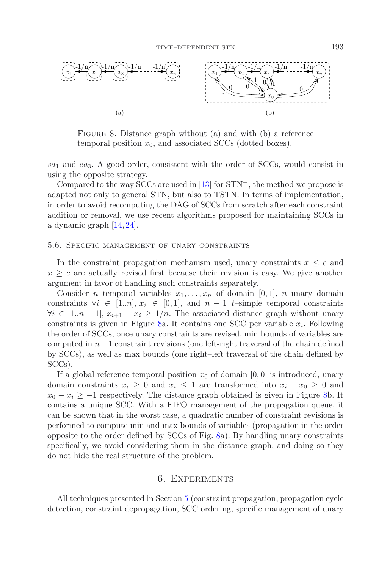<span id="page-20-1"></span>

FIGURE 8. Distance graph without (a) and with (b) a reference temporal position  $x_0$ , and associated SCCs (dotted boxes).

 $sa<sub>1</sub>$  and  $ea<sub>3</sub>$ . A good order, consistent with the order of SCCs, would consist in using the opposite strategy.

Compared to the way SCCs are used in [\[13\]](#page-24-11) for STN−, the method we propose is adapted not only to general STN, but also to TSTN. In terms of implementation, in order to avoid recomputing the DAG of SCCs from scratch after each constraint addition or removal, we use recent algorithms proposed for maintaining SCCs in a dynamic graph [\[14](#page-24-19), [24](#page-25-4)].

#### 5.6. Specific management of unary constraints

In the constraint propagation mechanism used, unary constraints  $x \leq c$  and  $x \geq c$  are actually revised first because their revision is easy. We give another argument in favor of handling such constraints separately.

Consider *n* temporal variables  $x_1, \ldots, x_n$  of domain [0, 1], *n* unary domain constraints  $\forall i \in [1..n], x_i \in [0,1],$  and  $n-1$  t-simple temporal constraints  $\forall i \in [1..n-1], x_{i+1} - x_i \geq 1/n$ . The associated distance graph without unary constraints is given in Figure [8a](#page-20-1). It contains one SCC per variable  $x_i$ . Following the order of SCCs, once unary constraints are revised, min bounds of variables are computed in  $n-1$  constraint revisions (one left-right traversal of the chain defined by SCCs), as well as max bounds (one right–left traversal of the chain defined by SCCs).

If a global reference temporal position  $x_0$  of domain [0,0] is introduced, unary domain constraints  $x_i \geq 0$  and  $x_i \leq 1$  are transformed into  $x_i - x_0 \geq 0$  and  $x_0 - x_i \geq -1$  respectively. The distance graph obtained is given in Figure [8b](#page-20-1). It contains a unique SCC. With a FIFO management of the propagation queue, it can be shown that in the worst case, a quadratic number of constraint revisions is performed to compute min and max bounds of variables (propagation in the order opposite to the order defined by SCCs of Fig. [8a](#page-20-1)). By handling unary constraints specifically, we avoid considering them in the distance graph, and doing so they do not hide the real structure of the problem.

### 6. Experiments

<span id="page-20-0"></span>All techniques presented in Section [5](#page-13-0) (constraint propagation, propagation cycle detection, constraint depropagation, SCC ordering, specific management of unary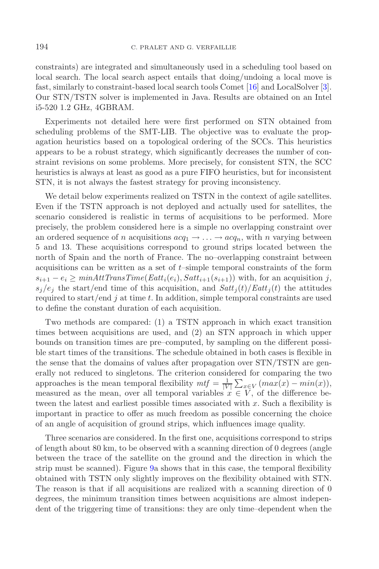constraints) are integrated and simultaneously used in a scheduling tool based on local search. The local search aspect entails that doing/undoing a local move is fast, similarly to constraint-based local search tools Comet [\[16\]](#page-24-20) and LocalSolver [\[3](#page-24-21)]. Our STN/TSTN solver is implemented in Java. Results are obtained on an Intel i5-520 1.2 GHz, 4GBRAM.

Experiments not detailed here were first performed on STN obtained from scheduling problems of the SMT-LIB. The objective was to evaluate the propagation heuristics based on a topological ordering of the SCCs. This heuristics appears to be a robust strategy, which significantly decreases the number of constraint revisions on some problems. More precisely, for consistent STN, the SCC heuristics is always at least as good as a pure FIFO heuristics, but for inconsistent STN, it is not always the fastest strategy for proving inconsistency.

We detail below experiments realized on TSTN in the context of agile satellites. Even if the TSTN approach is not deployed and actually used for satellites, the scenario considered is realistic in terms of acquisitions to be performed. More precisely, the problem considered here is a simple no overlapping constraint over an ordered sequence of n acquisitions  $acq_1 \rightarrow \ldots \rightarrow acq_n$ , with n varying between 5 and 13. These acquisitions correspond to ground strips located between the north of Spain and the north of France. The no–overlapping constraint between acquisitions can be written as a set of  $t$ –simple temporal constraints of the form  $s_{i+1} - e_i \geq \min{AttTransTime}(Eatt_i(e_i), Satt_{i+1}(s_{i+1}))$  with, for an acquisition j,  $s_j/e_j$  the start/end time of this acquisition, and  $Satt_j(t)/Eatt_j(t)$  the attitudes required to start/end j at time t. In addition, simple temporal constraints are used to define the constant duration of each acquisition.

Two methods are compared: (1) a TSTN approach in which exact transition times between acquisitions are used, and (2) an STN approach in which upper bounds on transition times are pre–computed, by sampling on the different possible start times of the transitions. The schedule obtained in both cases is flexible in the sense that the domains of values after propagation over STN/TSTN are generally not reduced to singletons. The criterion considered for comparing the two approaches is the mean temporal flexibility  $m t f = \frac{1}{|V|} \sum_{x \in V} (max(x) - min(x)),$ measured as the mean, over all temporal variables  $x \in V$ , of the difference between the latest and earliest possible times associated with  $x$ . Such a flexibility is important in practice to offer as much freedom as possible concerning the choice of an angle of acquisition of ground strips, which influences image quality.

Three scenarios are considered. In the first one, acquisitions correspond to strips of length about 80 km, to be observed with a scanning direction of 0 degrees (angle between the trace of the satellite on the ground and the direction in which the strip must be scanned). Figure [9a](#page-22-0) shows that in this case, the temporal flexibility obtained with TSTN only slightly improves on the flexibility obtained with STN. The reason is that if all acquisitions are realized with a scanning direction of 0 degrees, the minimum transition times between acquisitions are almost independent of the triggering time of transitions: they are only time–dependent when the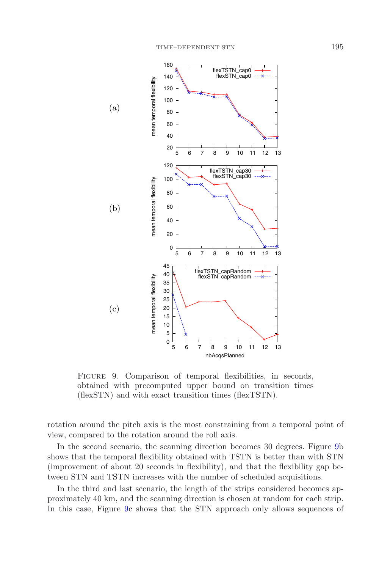

<span id="page-22-0"></span>FIGURE 9. Comparison of temporal flexibilities, in seconds, obtained with precomputed upper bound on transition times (flexSTN) and with exact transition times (flexTSTN).

rotation around the pitch axis is the most constraining from a temporal point of view, compared to the rotation around the roll axis.

In the second scenario, the scanning direction becomes 30 degrees. Figure [9b](#page-22-0) shows that the temporal flexibility obtained with TSTN is better than with STN (improvement of about 20 seconds in flexibility), and that the flexibility gap between STN and TSTN increases with the number of scheduled acquisitions.

In the third and last scenario, the length of the strips considered becomes approximately 40 km, and the scanning direction is chosen at random for each strip. In this case, Figure [9c](#page-22-0) shows that the STN approach only allows sequences of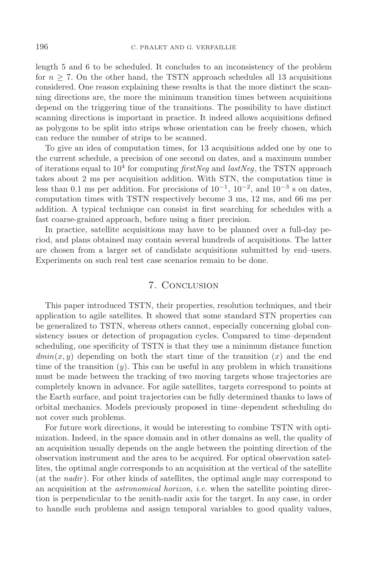length 5 and 6 to be scheduled. It concludes to an inconsistency of the problem for  $n \geq 7$ . On the other hand, the TSTN approach schedules all 13 acquisitions considered. One reason explaining these results is that the more distinct the scanning directions are, the more the minimum transition times between acquisitions depend on the triggering time of the transitions. The possibility to have distinct scanning directions is important in practice. It indeed allows acquisitions defined as polygons to be split into strips whose orientation can be freely chosen, which can reduce the number of strips to be scanned.

To give an idea of computation times, for 13 acquisitions added one by one to the current schedule, a precision of one second on dates, and a maximum number of iterations equal to  $10^4$  for computing *firstNeg* and *lastNeg*, the TSTN approach takes about 2 ms per acquisition addition. With STN, the computation time is less than 0.1 ms per addition. For precisions of  $10^{-1}$ ,  $10^{-2}$ , and  $10^{-3}$  s on dates, computation times with TSTN respectively become 3 ms, 12 ms, and 66 ms per addition. A typical technique can consist in first searching for schedules with a fast coarse-grained approach, before using a finer precision.

In practice, satellite acquisitions may have to be planned over a full-day period, and plans obtained may contain several hundreds of acquisitions. The latter are chosen from a larger set of candidate acquisitions submitted by end–users. Experiments on such real test case scenarios remain to be done.

# 7. Conclusion

This paper introduced TSTN, their properties, resolution techniques, and their application to agile satellites. It showed that some standard STN properties can be generalized to TSTN, whereas others cannot, especially concerning global consistency issues or detection of propagation cycles. Compared to time–dependent scheduling, one specificity of TSTN is that they use a minimum distance function  $dmin(x, y)$  depending on both the start time of the transition  $(x)$  and the end time of the transition  $(y)$ . This can be useful in any problem in which transitions must be made between the tracking of two moving targets whose trajectories are completely known in advance. For agile satellites, targets correspond to points at the Earth surface, and point trajectories can be fully determined thanks to laws of orbital mechanics. Models previously proposed in time–dependent scheduling do not cover such problems.

For future work directions, it would be interesting to combine TSTN with optimization. Indeed, in the space domain and in other domains as well, the quality of an acquisition usually depends on the angle between the pointing direction of the observation instrument and the area to be acquired. For optical observation satellites, the optimal angle corresponds to an acquisition at the vertical of the satellite (at the *nadir* ). For other kinds of satellites, the optimal angle may correspond to an acquisition at the *astronomical horizon*, *i.e.* when the satellite pointing direction is perpendicular to the zenith-nadir axis for the target. In any case, in order to handle such problems and assign temporal variables to good quality values,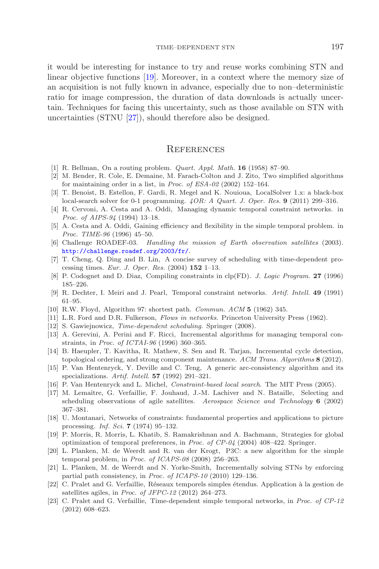it would be interesting for instance to try and reuse works combining STN and linear objective functions [\[19](#page-24-22)]. Moreover, in a context where the memory size of an acquisition is not fully known in advance, especially due to non–deterministic ratio for image compression, the duration of data downloads is actually uncertain. Techniques for facing this uncertainty, such as those available on STN with uncertainties (STNU [\[27\]](#page-25-5)), should therefore also be designed.

### **REFERENCES**

- <span id="page-24-7"></span>[1] R. Bellman, On a routing problem. *Quart. Appl. Math.* **16** (1958) 87–90.
- <span id="page-24-18"></span>[2] M. Bender, R. Cole, E. Demaine, M. Farach-Colton and J. Zito, Two simplified algorithms for maintaining order in a list, in *Proc. of ESA-02* (2002) 152–164.
- <span id="page-24-21"></span>[3] T. Benoist, B. Estellon, F. Gardi, R. Megel and K. Nouioua, LocalSolver 1.x: a black-box local-search solver for 0-1 programming. *4OR: A Quart. J. Oper. Res.* **9** (2011) 299–316.
- <span id="page-24-9"></span>[4] R. Cervoni, A. Cesta and A. Oddi, Managing dynamic temporal constraint networks. in *Proc. of AIPS-94* (1994) 13–18.
- <span id="page-24-10"></span>[5] A. Cesta and A. Oddi, Gaining efficiency and flexibility in the simple temporal problem. in *Proc. TIME-96* (1996) 45–50.
- <span id="page-24-1"></span>[6] Challenge ROADEF-03. *Handling the mission of Earth observation satellites* (2003). <http://challenge.roadef.org/2003/fr/>.
- <span id="page-24-3"></span>[7] T. Cheng, Q. Ding and B. Lin, A concise survey of scheduling with time-dependent processing times. *Eur. J. Oper. Res.* (2004) **152** 1–13.
- <span id="page-24-17"></span>[8] P. Codognet and D. Diaz, Compiling constraints in clp(FD). *J. Logic Program.* **27** (1996) 185–226.
- [9] R. Dechter, I. Meiri and J. Pearl, Temporal constraint networks. *Artif. Intell.* **49** (1991) 61–95.
- <span id="page-24-0"></span>[10] R.W. Floyd, Algorithm 97: shortest path. *Commun. ACM* **5** (1962) 345.
- <span id="page-24-12"></span><span id="page-24-8"></span><span id="page-24-4"></span>[11] L.R. Ford and D.R. Fulkerson, *Flows in networks*. Princeton University Press (1962).
- [12] S. Gawiejnowicz, *Time-dependent scheduling*. Springer (2008).
- <span id="page-24-11"></span>[13] A. Gerevini, A. Perini and F. Ricci, Incremental algorithms for managing temporal constraints, in *Proc. of ICTAI-96* (1996) 360–365.
- <span id="page-24-19"></span>[14] B. Haeupler, T. Kavitha, R. Mathew, S. Sen and R. Tarjan, Incremental cycle detection, topological ordering, and strong component maintenance. *ACM Trans. Algorithms* **8** (2012).
- <span id="page-24-16"></span>[15] P. Van Hentenryck, Y. Deville and C. Teng, A generic arc-consistency algorithm and its specializations. *Artif. Intell.* **57** (1992) 291–321.
- <span id="page-24-20"></span>[16] P. Van Hentenryck and L. Michel, *Constraint-based local search*. The MIT Press (2005).
- <span id="page-24-2"></span>[17] M. Lemaître, G. Verfaillie, F. Jouhaud, J.-M. Lachiver and N. Bataille, Selecting and scheduling observations of agile satellites. *Aerospace Science and Technology* **6** (2002) 367–381.
- <span id="page-24-15"></span>[18] U. Montanari, Networks of constraints: fundamental properties and applications to picture processing. *Inf. Sci.* **7** (1974) 95–132.
- <span id="page-24-22"></span>[19] P. Morris, R. Morris, L. Khatib, S. Ramakrishnan and A. Bachmann, Strategies for global optimization of temporal preferences, in *Proc. of CP-04* (2004) 408–422. Springer.
- <span id="page-24-13"></span>[20] L. Planken, M. de Weerdt and R. van der Krogt, P3C: a new algorithm for the simple temporal problem, in *Proc. of ICAPS-08* (2008) 256–263.
- <span id="page-24-14"></span>[21] L. Planken, M. de Weerdt and N. Yorke-Smith, Incrementally solving STNs by enforcing partial path consistency, in *Proc. of ICAPS-10* (2010) 129–136.
- <span id="page-24-5"></span>[22] C. Pralet and G. Verfaillie, Réseaux temporels simples étendus. Application à la gestion de satellites agiles, in *Proc. of JFPC-12* (2012) 264–273.
- <span id="page-24-6"></span>[23] C. Pralet and G. Verfaillie, Time-dependent simple temporal networks, in *Proc. of CP-12* (2012) 608–623.